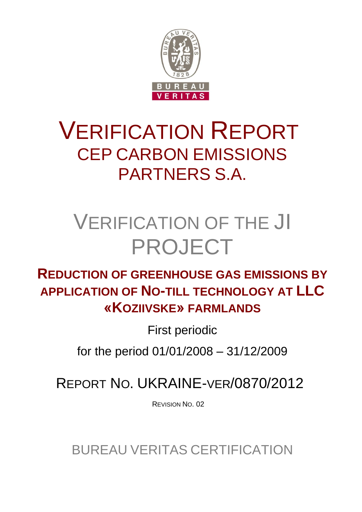

## VERIFICATION REPORT CEP CARBON EMISSIONS PARTNERS S.A.

# VERIFICATION OF THE JI PROJECT

## **REDUCTION OF GREENHOUSE GAS EMISSIONS BY APPLICATION OF NO-TILL TECHNOLOGY AT LLC «KOZIIVSKE» FARMLANDS**

First periodic

for the period 01/01/2008 – 31/12/2009

REPORT NO. UKRAINE-VER/0870/2012

REVISION NO. 02

BUREAU VERITAS CERTIFICATION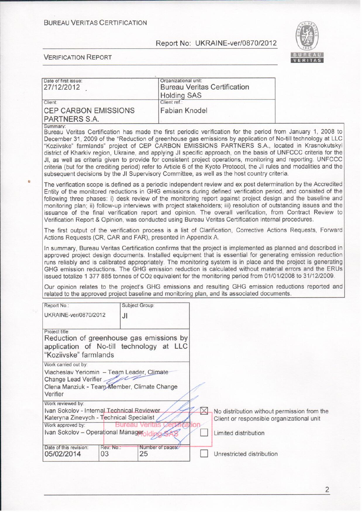#### **BUREAU VERITAS CERTIFICATION**

## Report No: UKRAINE-ver/0870/2012



| Date of first issue:<br>27/12/2012                                                                                                                                          |                       | Organizational unit:   |                | <b>Bureau Veritas Certification</b>                                                                              |                                                                                                                                                                                                                                                                                                                                                                                                                                                                                                                                                                                                                                                                                           |
|-----------------------------------------------------------------------------------------------------------------------------------------------------------------------------|-----------------------|------------------------|----------------|------------------------------------------------------------------------------------------------------------------|-------------------------------------------------------------------------------------------------------------------------------------------------------------------------------------------------------------------------------------------------------------------------------------------------------------------------------------------------------------------------------------------------------------------------------------------------------------------------------------------------------------------------------------------------------------------------------------------------------------------------------------------------------------------------------------------|
|                                                                                                                                                                             |                       | <b>Holding SAS</b>     |                |                                                                                                                  |                                                                                                                                                                                                                                                                                                                                                                                                                                                                                                                                                                                                                                                                                           |
| Client:                                                                                                                                                                     |                       | Client ref.:           |                |                                                                                                                  |                                                                                                                                                                                                                                                                                                                                                                                                                                                                                                                                                                                                                                                                                           |
| <b>CEP CARBON EMISSIONS</b><br>PARTNERS S.A.                                                                                                                                |                       | <b>Fabian Knodel</b>   |                |                                                                                                                  |                                                                                                                                                                                                                                                                                                                                                                                                                                                                                                                                                                                                                                                                                           |
| Summary:<br>subsequent decisions by the JI Supervisory Committee, as well as the host country criteria.                                                                     |                       |                        |                |                                                                                                                  | Bureau Veritas Certification has made the first periodic verification for the period from January 1, 2008 to<br>December 31, 2009 of the "Reduction of greenhouse gas emissions by application of No-till technology at LLC<br>"Koziivske" farmlands" project of CEP CARBON EMISSIONS PARTNERS S.A., located in Krasnokutskyi<br>district of Kharkiv region, Ukraine, and applying JI specific approach, on the basis of UNFCCC criteria for the<br>JI, as well as criteria given to provide for consistent project operations, monitoring and reporting. UNFCCC<br>criteria (but for the crediting period) refer to Article 6 of the Kyoto Protocol, the JI rules and modalities and the |
| Verification Report & Opinion, was conducted using Bureau Veritas Certification internal procedures.                                                                        |                       |                        |                |                                                                                                                  | The verification scope is defined as a periodic independent review and ex post determination by the Accredited<br>Entity of the monitored reductions in GHG emissions during defined verification period, and consisted of the<br>following three phases: i) desk review of the monitoring report against project design and the baseline and<br>monitoring plan; ii) follow-up interviews with project stakeholders; iii) resolution of outstanding issues and the<br>issuance of the final verification report and opinion. The overall verification, from Contract Review to                                                                                                           |
| Actions Requests (CR, CAR and FAR), presented in Appendix A.                                                                                                                |                       |                        |                |                                                                                                                  | The first output of the verification process is a list of Clarification, Corrective Actions Requests, Forward                                                                                                                                                                                                                                                                                                                                                                                                                                                                                                                                                                             |
| issued totalize 1 377 885 tonnes of CO <sub>2</sub> equivalent for the monitoring period from 01/01/2008 to 31/12/2009.                                                     |                       |                        |                |                                                                                                                  | In summary, Bureau Veritas Certification confirms that the project is implemented as planned and described in<br>approved project design documents. Installed equipment that is essential for generating emission reduction<br>runs reliably and is calibrated appropriately. The monitoring system is in place and the project is generating<br>GHG emission reductions. The GHG emission reduction is calculated without material errors and the ERUs                                                                                                                                                                                                                                   |
| related to the approved project baseline and monitoring plan, and its associated documents.                                                                                 |                       |                        |                |                                                                                                                  | Our opinion relates to the project's GHG emissions and resulting GHG emission reductions reported and                                                                                                                                                                                                                                                                                                                                                                                                                                                                                                                                                                                     |
| Report No.:                                                                                                                                                                 | Subject Group:        |                        |                |                                                                                                                  |                                                                                                                                                                                                                                                                                                                                                                                                                                                                                                                                                                                                                                                                                           |
| UKRAINE-ver/0870/2012                                                                                                                                                       | JI                    |                        |                |                                                                                                                  |                                                                                                                                                                                                                                                                                                                                                                                                                                                                                                                                                                                                                                                                                           |
| Project title:<br>Reduction of greenhouse gas emissions by<br>application of No-till technology at LLC<br>"Koziivske" farmlands                                             |                       |                        |                |                                                                                                                  |                                                                                                                                                                                                                                                                                                                                                                                                                                                                                                                                                                                                                                                                                           |
| Work carried out by:<br>Viacheslav Yeriomin - Team Leader, Climate<br>Change Lead Verifier<br>Olena Manziuk - Team Member, Climate Change<br>Verifier                       |                       |                        |                |                                                                                                                  |                                                                                                                                                                                                                                                                                                                                                                                                                                                                                                                                                                                                                                                                                           |
| Work reviewed by:<br>Ivan Sokolov - Internal Technical Reviewer<br>Kateryna Zinevych - Technical Specialist<br>Work approved by:<br>Ivan Sokolov - Operational Manageraldig | <b>Bureau Veritas</b> |                        | $\times$<br>on | No distribution without permission from the<br>Client or responsible organizational unit<br>Limited distribution |                                                                                                                                                                                                                                                                                                                                                                                                                                                                                                                                                                                                                                                                                           |
| Date of this revision:<br>05/02/2014<br>03                                                                                                                                  | Rev. No.:             | Number of pages.<br>25 |                | Unrestricted distribution                                                                                        |                                                                                                                                                                                                                                                                                                                                                                                                                                                                                                                                                                                                                                                                                           |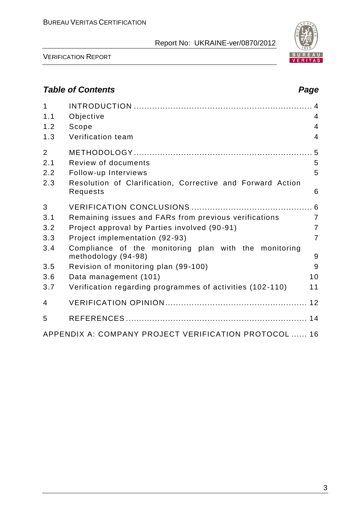

VERIFICATION REPORT

## *Table of Contents Page*

| $\mathbf{1}$<br>1.1 | Objective                                                                    | $\overline{4}$ |
|---------------------|------------------------------------------------------------------------------|----------------|
| 1.2                 | Scope                                                                        | $\overline{4}$ |
| 1.3                 | Verification team                                                            | $\overline{4}$ |
| $\overline{2}$      |                                                                              |                |
| 2.1                 | Review of documents                                                          | 5              |
| 2.2                 | Follow-up Interviews                                                         | 5              |
| 2.3                 | Resolution of Clarification, Corrective and Forward Action<br>Requests       | 6              |
| 3                   |                                                                              |                |
| 3.1                 | Remaining issues and FARs from previous verifications                        | $\overline{7}$ |
| 3.2                 | Project approval by Parties involved (90-91)                                 | $\overline{7}$ |
| 3.3                 | Project implementation (92-93)                                               | $\overline{7}$ |
| 3.4                 | Compliance of the monitoring plan with the monitoring<br>methodology (94-98) | 9              |
| 3.5                 | Revision of monitoring plan (99-100)                                         | 9              |
| 3.6                 | Data management (101)                                                        | 10             |
| 3.7                 | Verification regarding programmes of activities (102-110)                    | 11             |
| $\overline{4}$      |                                                                              |                |
| 5                   |                                                                              |                |
|                     | APPENDIX A: COMPANY PROJECT VERIFICATION PROTOCOL  16                        |                |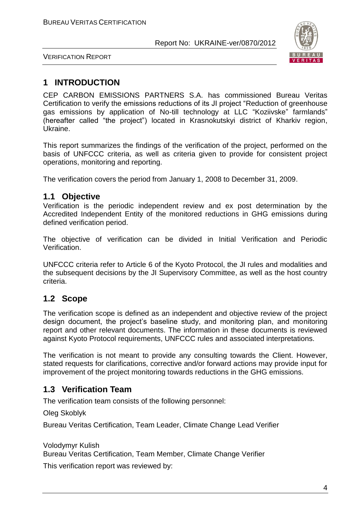

VERIFICATION REPORT

## **1 INTRODUCTION**

CEP CARBON EMISSIONS PARTNERS S.A. has commissioned Bureau Veritas Certification to verify the emissions reductions of its JI project "Reduction of greenhouse gas emissions by application of No-till technology at LLC "Koziivske" farmlands" (hereafter called "the project") located in Krasnokutskyi district of Kharkiv region, Ukraine.

This report summarizes the findings of the verification of the project, performed on the basis of UNFCCC criteria, as well as criteria given to provide for consistent project operations, monitoring and reporting.

The verification covers the period from January 1, 2008 to December 31, 2009.

#### **1.1 Objective**

Verification is the periodic independent review and ex post determination by the Accredited Independent Entity of the monitored reductions in GHG emissions during defined verification period.

The objective of verification can be divided in Initial Verification and Periodic Verification.

UNFCCC criteria refer to Article 6 of the Kyoto Protocol, the JI rules and modalities and the subsequent decisions by the JI Supervisory Committee, as well as the host country criteria.

## **1.2 Scope**

The verification scope is defined as an independent and objective review of the project design document, the project's baseline study, and monitoring plan, and monitoring report and other relevant documents. The information in these documents is reviewed against Kyoto Protocol requirements, UNFCCC rules and associated interpretations.

The verification is not meant to provide any consulting towards the Client. However, stated requests for clarifications, corrective and/or forward actions may provide input for improvement of the project monitoring towards reductions in the GHG emissions.

## **1.3 Verification Team**

The verification team consists of the following personnel:

Oleg Skoblyk

Bureau Veritas Certification, Team Leader, Climate Change Lead Verifier

Volodymyr Kulish Bureau Veritas Certification, Team Member, Climate Change Verifier

This verification report was reviewed by: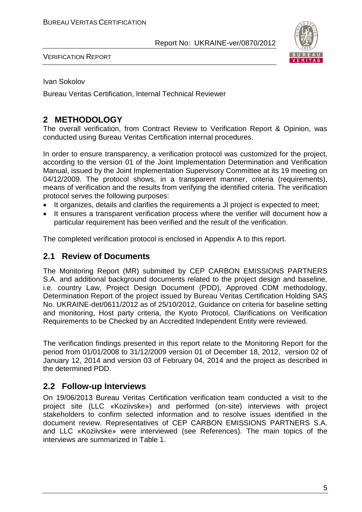

VERIFICATION REPORT

Ivan Sokolov

Bureau Veritas Certification, Internal Technical Reviewer

## **2 METHODOLOGY**

The overall verification, from Contract Review to Verification Report & Opinion, was conducted using Bureau Veritas Certification internal procedures.

In order to ensure transparency, a verification protocol was customized for the project, according to the version 01 of the Joint Implementation Determination and Verification Manual, issued by the Joint Implementation Supervisory Committee at its 19 meeting on 04/12/2009. The protocol shows, in a transparent manner, criteria (requirements), means of verification and the results from verifying the identified criteria. The verification protocol serves the following purposes:

- It organizes, details and clarifies the requirements a JI project is expected to meet;
- It ensures a transparent verification process where the verifier will document how a particular requirement has been verified and the result of the verification.

The completed verification protocol is enclosed in Appendix A to this report.

#### **2.1 Review of Documents**

The Monitoring Report (MR) submitted by CEP CARBON EMISSIONS PARTNERS S.A. and additional background documents related to the project design and baseline, i.e. country Law, Project Design Document (PDD), Approved CDM methodology, Determination Report of the project issued by Bureau Veritas Certification Holding SAS No. UKRAINE-det/0611/2012 as of 25/10/2012, Guidance on criteria for baseline setting and monitoring, Host party criteria, the Kyoto Protocol, Clarifications on Verification Requirements to be Checked by an Accredited Independent Entity were reviewed.

The verification findings presented in this report relate to the Monitoring Report for the period from 01/01/2008 to 31/12/2009 version 01 of December 18, 2012, version 02 of January 12, 2014 and version 03 of February 04, 2014 and the project as described in the determined PDD.

#### **2.2 Follow-up Interviews**

On 19/06/2013 Bureau Veritas Certification verification team conducted a visit to the project site (LLC «Koziivske») and performed (on-site) interviews with project stakeholders to confirm selected information and to resolve issues identified in the document review. Representatives of CEP CARBON EMISSIONS PARTNERS S.A. and LLC «Koziivske» were interviewed (see References). The main topics of the interviews are summarized in Table 1.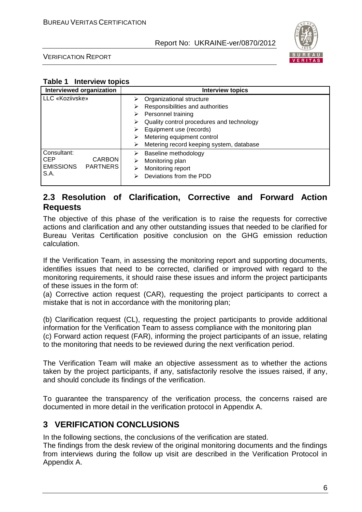

VERIFICATION REPORT

#### **Table 1 Interview topics**

| Interviewed organization            | <b>Interview topics</b>                        |
|-------------------------------------|------------------------------------------------|
| LLC «Koziivske»                     | Organizational structure<br>⋗                  |
|                                     | Responsibilities and authorities<br>⋗          |
|                                     | Personnel training<br>⋗                        |
|                                     | Quality control procedures and technology<br>⋗ |
|                                     | Equipment use (records)<br>⋗                   |
|                                     | Metering equipment control<br>⋗                |
|                                     | Metering record keeping system, database<br>⋗  |
| Consultant:                         | Baseline methodology<br>⋗                      |
| <b>CEP</b><br><b>CARBON</b>         | Monitoring plan<br>⋗                           |
| <b>EMISSIONS</b><br><b>PARTNERS</b> | Monitoring report<br>⋗                         |
| S.A.                                | Deviations from the PDD<br>⋗                   |
|                                     |                                                |

#### **2.3 Resolution of Clarification, Corrective and Forward Action Requests**

The objective of this phase of the verification is to raise the requests for corrective actions and clarification and any other outstanding issues that needed to be clarified for Bureau Veritas Certification positive conclusion on the GHG emission reduction calculation.

If the Verification Team, in assessing the monitoring report and supporting documents, identifies issues that need to be corrected, clarified or improved with regard to the monitoring requirements, it should raise these issues and inform the project participants of these issues in the form of:

(a) Corrective action request (CAR), requesting the project participants to correct a mistake that is not in accordance with the monitoring plan;

(b) Clarification request (CL), requesting the project participants to provide additional information for the Verification Team to assess compliance with the monitoring plan (c) Forward action request (FAR), informing the project participants of an issue, relating to the monitoring that needs to be reviewed during the next verification period.

The Verification Team will make an objective assessment as to whether the actions taken by the project participants, if any, satisfactorily resolve the issues raised, if any, and should conclude its findings of the verification.

To guarantee the transparency of the verification process, the concerns raised are documented in more detail in the verification protocol in Appendix A.

## **3 VERIFICATION CONCLUSIONS**

In the following sections, the conclusions of the verification are stated.

The findings from the desk review of the original monitoring documents and the findings from interviews during the follow up visit are described in the Verification Protocol in Appendix A.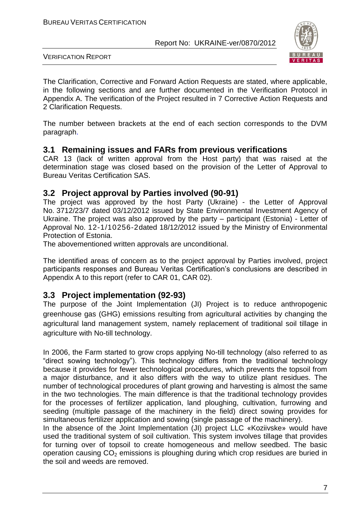

VERIFICATION REPORT

The Clarification, Corrective and Forward Action Requests are stated, where applicable, in the following sections and are further documented in the Verification Protocol in Appendix A. The verification of the Project resulted in 7 Corrective Action Requests and 2 Clarification Requests.

The number between brackets at the end of each section corresponds to the DVM paragraph.

#### **3.1 Remaining issues and FARs from previous verifications**

CAR 13 (lack of written approval from the Host party) that was raised at the determination stage was closed based on the provision of the Letter of Approval to Bureau Veritas Certification SAS.

#### **3.2 Project approval by Parties involved (90-91)**

The project was approved by the host Party (Ukraine) - the Letter of Approval No. 3712/23/7 dated 03/12/2012 issued by State Environmental Investment Agency of Ukraine. The project was also approved by the party – participant (Estonia) - Letter of Approval No. 12-1/10256-2dated 18/12/2012 issued by the Ministry of Environmental Protection of Estonia.

The abovementioned written approvals are unconditional.

The identified areas of concern as to the project approval by Parties involved, project participants responses and Bureau Veritas Certification's conclusions are described in Appendix A to this report (refer to CAR 01, CAR 02).

## **3.3 Project implementation (92-93)**

The purpose of the Joint Implementation (JI) Project is to reduce anthropogenic greenhouse gas (GHG) emissions resulting from agricultural activities by changing the agricultural land management system, namely replacement of traditional soil tillage in agriculture with No-till technology.

In 2006, the Farm started to grow crops applying No-till technology (also referred to as "direct sowing technology"). This technology differs from the traditional technology because it provides for fewer technological procedures, which prevents the topsoil from a major disturbance, and it also differs with the way to utilize plant residues. The number of technological procedures of plant growing and harvesting is almost the same in the two technologies. The main difference is that the traditional technology provides for the processes of fertilizer application, land ploughing, cultivation, furrowing and seeding (multiple passage of the machinery in the field) direct sowing provides for simultaneous fertilizer application and sowing (single passage of the machinery).

In the absence of the Joint Implementation (JI) project LLC «Koziivske» would have used the traditional system of soil cultivation. This system involves tillage that provides for turning over of topsoil to create homogeneous and mellow seedbed. The basic operation causing  $CO<sub>2</sub>$  emissions is ploughing during which crop residues are buried in the soil and weeds are removed.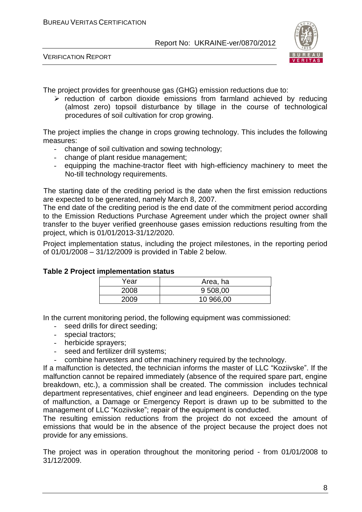



The project provides for greenhouse gas (GHG) emission reductions due to:

 $\triangleright$  reduction of carbon dioxide emissions from farmland achieved by reducing (almost zero) topsoil disturbance by tillage in the course of technological procedures of soil cultivation for crop growing.

The project implies the change in crops growing technology. This includes the following measures:

- change of soil cultivation and sowing technology;
- change of plant residue management;
- equipping the machine-tractor fleet with high-efficiency machinery to meet the No-till technology requirements.

The starting date of the crediting period is the date when the first emission reductions are expected to be generated, namely March 8, 2007.

The end date of the crediting period is the end date of the commitment period according to the Emission Reductions Purchase Agreement under which the project owner shall transfer to the buyer verified greenhouse gases emission reductions resulting from the project, which is 01/01/2013-31/12/2020.

Project implementation status, including the project milestones, in the reporting period of 01/01/2008 – 31/12/2009 is provided in Table 2 below.

| <u>p.voao otatao</u> |           |  |  |
|----------------------|-----------|--|--|
| Year                 | Area, ha  |  |  |
| 2008                 | 9 508,00  |  |  |
| 2009                 | 10 966,00 |  |  |

#### **Table 2 Project implementation status**

In the current monitoring period, the following equipment was commissioned:

- seed drills for direct seeding;
- special tractors;
- herbicide sprayers;
- seed and fertilizer drill systems;
- combine harvesters and other machinery required by the technology.

If a malfunction is detected, the technician informs the master of LLC "Koziivske". If the malfunction cannot be repaired immediately (absence of the required spare part, engine breakdown, etc.), a commission shall be created. The commission includes technical department representatives, chief engineer and lead engineers. Depending on the type of malfunction, a Damage or Emergency Report is drawn up to be submitted to the management of LLC "Koziivske"; repair of the equipment is conducted.

The resulting emission reductions from the project do not exceed the amount of emissions that would be in the absence of the project because the project does not provide for any emissions.

The project was in operation throughout the monitoring period - from 01/01/2008 to 31/12/2009.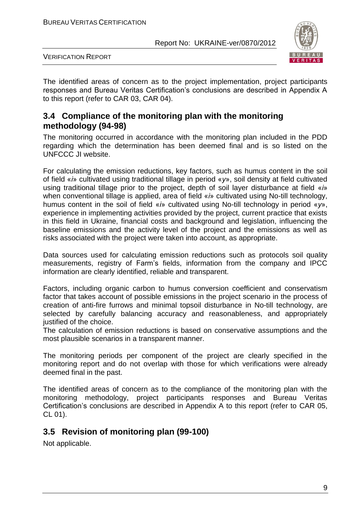

VERIFICATION REPORT

The identified areas of concern as to the project implementation, project participants responses and Bureau Veritas Certification's conclusions are described in Appendix A to this report (refer to CAR 03, CAR 04).

#### **3.4 Compliance of the monitoring plan with the monitoring methodology (94-98)**

The monitoring occurred in accordance with the monitoring plan included in the PDD regarding which the determination has been deemed final and is so listed on the UNFCCC JI website.

For calculating the emission reductions, key factors, such as humus content in the soil of field «*і*» cultivated using traditional tillage in period «*у*», soil density at field cultivated using traditional tillage prior to the project, depth of soil layer disturbance at field «*і*» when conventional tillage is applied, area of field «*і*» cultivated using No-till technology, humus content in the soil of field «*і*» cultivated using No-till technology in period «*у*», experience in implementing activities provided by the project, current practice that exists in this field in Ukraine, financial costs and background and legislation, influencing the baseline emissions and the activity level of the project and the emissions as well as risks associated with the project were taken into account, as appropriate.

Data sources used for calculating emission reductions such as protocols soil quality measurements, registry of Farm's fields, information from the company and IPCC information are clearly identified, reliable and transparent.

Factors, including organic carbon to humus conversion coefficient and conservatism factor that takes account of possible emissions in the project scenario in the process of creation of anti-fire furrows and minimal topsoil disturbance in No-till technology, are selected by carefully balancing accuracy and reasonableness, and appropriately justified of the choice.

The calculation of emission reductions is based on conservative assumptions and the most plausible scenarios in a transparent manner.

The monitoring periods per component of the project are clearly specified in the monitoring report and do not overlap with those for which verifications were already deemed final in the past.

The identified areas of concern as to the compliance of the monitoring plan with the monitoring methodology, project participants responses and Bureau Veritas Certification's conclusions are described in Appendix A to this report (refer to CAR 05, CL 01).

## **3.5 Revision of monitoring plan (99-100)**

Not applicable.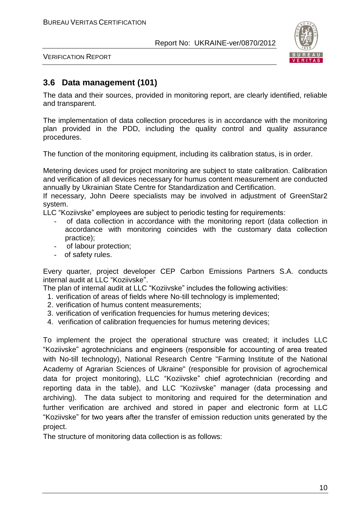

VERIFICATION REPORT

## **3.6 Data management (101)**

The data and their sources, provided in monitoring report, are clearly identified, reliable and transparent.

The implementation of data collection procedures is in accordance with the monitoring plan provided in the PDD, including the quality control and quality assurance procedures.

The function of the monitoring equipment, including its calibration status, is in order.

Metering devices used for project monitoring are subject to state calibration. Calibration and verification of all devices necessary for humus content measurement are conducted annually by Ukrainian State Centre for Standardization and Certification.

If necessary, John Deere specialists may be involved in adjustment of GreenStar2 system.

LLC "Koziivske" employees are subject to periodic testing for requirements:

- of data collection in accordance with the monitoring report (data collection in accordance with monitoring coincides with the customary data collection practice);
- of labour protection;
- of safety rules.

Every quarter, project developer CEP Carbon Emissions Partners S.A. conducts internal audit at LLC "Koziivske".

The plan of internal audit at LLC "Koziivske" includes the following activities:

- 1. verification of areas of fields where No-till technology is implemented;
- 2. verification of humus content measurements;
- 3. verification of verification frequencies for humus metering devices;
- 4. verification of calibration frequencies for humus metering devices;

To implement the project the operational structure was created; it includes LLC "Koziivske" agrotechnicians and engineers (responsible for accounting of area treated with No-till technology), National Research Centre "Farming Institute of the National Academy of Agrarian Sciences of Ukraine" (responsible for provision of agrochemical data for project monitoring), LLC "Koziivske" chief agrotechnician (recording and reporting data in the table), and LLC "Koziivske" manager (data processing and archiving). The data subject to monitoring and required for the determination and further verification are archived and stored in paper and electronic form at LLC "Koziivske" for two years after the transfer of emission reduction units generated by the project.

The structure of monitoring data collection is as follows: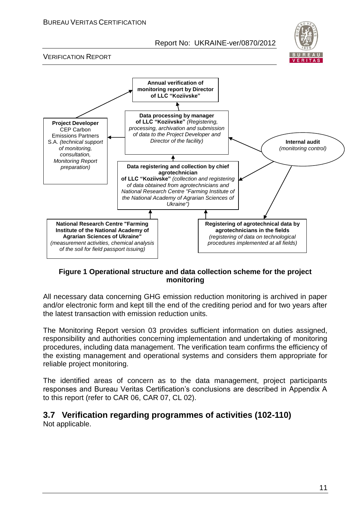

VERIFICATION REPORT



#### **Figure 1 Operational structure and data collection scheme for the project monitoring**

All necessary data concerning GHG emission reduction monitoring is archived in paper and/or electronic form and kept till the end of the crediting period and for two years after the latest transaction with emission reduction units.

The Monitoring Report version 03 provides sufficient information on duties assigned, responsibility and authorities concerning implementation and undertaking of monitoring procedures, including data management. The verification team confirms the efficiency of the existing management and operational systems and considers them appropriate for reliable project monitoring.

The identified areas of concern as to the data management, project participants responses and Bureau Veritas Certification's conclusions are described in Appendix A to this report (refer to CAR 06, CAR 07, CL 02).

## **3.7 Verification regarding programmes of activities (102-110)**

Not applicable.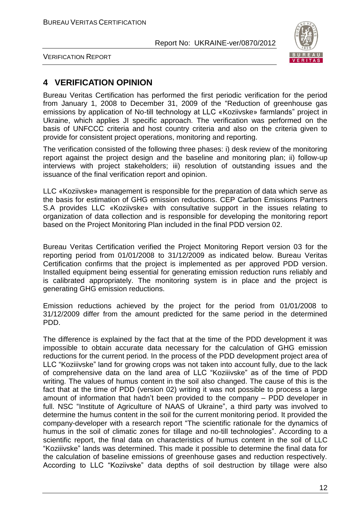

VERIFICATION REPORT

## **4 VERIFICATION OPINION**

Bureau Veritas Certification has performed the first periodic verification for the period from January 1, 2008 to December 31, 2009 of the "Reduction of greenhouse gas emissions by application of No-till technology at LLC «Koziivske» farmlands" project in Ukraine, which applies JI specific approach. The verification was performed on the basis of UNFCCC criteria and host country criteria and also on the criteria given to provide for consistent project operations, monitoring and reporting.

The verification consisted of the following three phases: i) desk review of the monitoring report against the project design and the baseline and monitoring plan; ii) follow-up interviews with project stakeholders; iii) resolution of outstanding issues and the issuance of the final verification report and opinion.

LLC «Koziivske» management is responsible for the preparation of data which serve as the basis for estimation of GHG emission reductions. CEP Carbon Emissions Partners S.A provides LLC «Koziivske» with consultative support in the issues relating to organization of data collection and is responsible for developing the monitoring report based on the Project Monitoring Plan included in the final PDD version 02.

Bureau Veritas Certification verified the Project Monitoring Report version 03 for the reporting period from 01/01/2008 to 31/12/2009 as indicated below. Bureau Veritas Certification confirms that the project is implemented as per approved PDD version. Installed equipment being essential for generating emission reduction runs reliably and is calibrated appropriately. The monitoring system is in place and the project is generating GHG emission reductions.

Emission reductions achieved by the project for the period from 01/01/2008 to 31/12/2009 differ from the amount predicted for the same period in the determined PDD.

The difference is explained by the fact that at the time of the PDD development it was impossible to obtain accurate data necessary for the calculation of GHG emission reductions for the current period. In the process of the PDD development project area of LLC "Koziiivske" land for growing crops was not taken into account fully, due to the lack of comprehensive data on the land area of LLC "Koziiivske" as of the time of PDD writing. The values of humus content in the soil also changed. The cause of this is the fact that at the time of PDD (version 02) writing it was not possible to process a large amount of information that hadn't been provided to the company – PDD developer in full. NSC "Institute of Agriculture of NAAS of Ukraine", a third party was involved to determine the humus content in the soil for the current monitoring period. It provided the company-developer with a research report "The scientific rationale for the dynamics of humus in the soil of climatic zones for tillage and no-till technologies". According to a scientific report, the final data on characteristics of humus content in the soil of LLC "Koziiivske" lands was determined. This made it possible to determine the final data for the calculation of baseline emissions of greenhouse gases and reduction respectively. According to LLC "Koziivske" data depths of soil destruction by tillage were also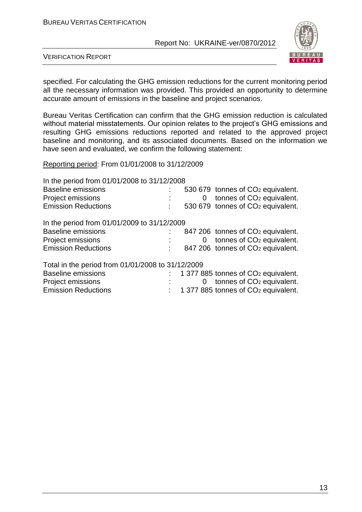

VERIFICATION REPORT

specified. For calculating the GHG emission reductions for the current monitoring period all the necessary information was provided. This provided an opportunity to determine accurate amount of emissions in the baseline and project scenarios.

Bureau Veritas Certification can confirm that the GHG emission reduction is calculated without material misstatements. Our opinion relates to the project's GHG emissions and resulting GHG emissions reductions reported and related to the approved project baseline and monitoring, and its associated documents. Based on the information we have seen and evaluated, we confirm the following statement:

Reporting period: From 01/01/2008 to 31/12/2009

| In the period from 01/01/2008 to 31/12/2008       |          |                                                 |
|---------------------------------------------------|----------|-------------------------------------------------|
| <b>Baseline emissions</b>                         |          | 530 679 tonnes of CO <sub>2</sub> equivalent.   |
| Project emissions                                 | 0        | tonnes of CO <sub>2</sub> equivalent.           |
| <b>Emission Reductions</b>                        |          | 530 679 tonnes of CO <sub>2</sub> equivalent.   |
| In the period from 01/01/2009 to 31/12/2009       |          |                                                 |
| <b>Baseline emissions</b>                         |          | 847 206 tonnes of CO <sub>2</sub> equivalent.   |
| Project emissions                                 | $\Omega$ | tonnes of CO <sub>2</sub> equivalent.           |
| <b>Emission Reductions</b>                        |          | 847 206 tonnes of CO <sub>2</sub> equivalent.   |
| Total in the period from 01/01/2008 to 31/12/2009 |          |                                                 |
| <b>Baseline emissions</b>                         |          | 1 377 885 tonnes of CO <sub>2</sub> equivalent. |
| Project emissions                                 | 0        | tonnes of CO <sub>2</sub> equivalent.           |
| <b>Emission Reductions</b>                        |          | 1 377 885 tonnes of CO <sub>2</sub> equivalent. |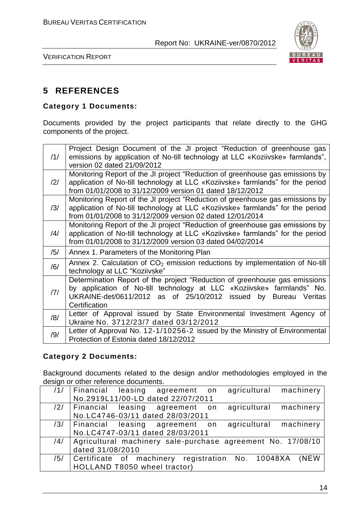

VERIFICATION REPORT

## **5 REFERENCES**

#### **Category 1 Documents:**

Documents provided by the project participants that relate directly to the GHG components of the project.

| /1/            | Project Design Document of the JI project "Reduction of greenhouse gas<br>emissions by application of No-till technology at LLC «Koziivske» farmlands",<br>version 02 dated 21/09/2012                                                      |
|----------------|---------------------------------------------------------------------------------------------------------------------------------------------------------------------------------------------------------------------------------------------|
| $\frac{12}{1}$ | Monitoring Report of the JI project "Reduction of greenhouse gas emissions by<br>application of No-till technology at LLC «Koziivske» farmlands" for the period<br>from 01/01/2008 to 31/12/2009 version 01 dated 18/12/2012                |
| /3/            | Monitoring Report of the JI project "Reduction of greenhouse gas emissions by<br>application of No-till technology at LLC «Koziivske» farmlands" for the period<br>from 01/01/2008 to 31/12/2009 version 02 dated 12/01/2014                |
| /4/            | Monitoring Report of the JI project "Reduction of greenhouse gas emissions by<br>application of No-till technology at LLC «Koziivske» farmlands" for the period<br>from 01/01/2008 to 31/12/2009 version 03 dated 04/02/2014                |
| /5/            | Annex 1. Parameters of the Monitoring Plan                                                                                                                                                                                                  |
| /6/            | Annex 2. Calculation of $CO2$ emission reductions by implementation of No-till<br>technology at LLC "Koziivske"                                                                                                                             |
| 7              | Determination Report of the project "Reduction of greenhouse gas emissions<br>by application of No-till technology at LLC «Koziivske» farmlands" No.<br>UKRAINE-det/0611/2012 as of 25/10/2012 issued by<br>Bureau Veritas<br>Certification |
| /8/            | Letter of Approval issued by State Environmental Investment Agency of<br>Ukraine No. 3712/23/7 dated 03/12/2012                                                                                                                             |
| /9/            | Letter of Approval No. 12-1/10256-2 issued by the Ministry of Environmental<br>Protection of Estonia dated 18/12/2012                                                                                                                       |

#### **Category 2 Documents:**

Background documents related to the design and/or methodologies employed in the design or other reference documents.

| /1/ | machinery<br>agricultural<br>Financial leasing agreement on  |
|-----|--------------------------------------------------------------|
|     | No.2919L11/00-LD dated 22/07/2011                            |
| /2/ | agricultural machinery<br>Financial leasing agreement on     |
|     | No.LC4746-03/11 dated 28/03/2011                             |
|     | agricultural machinery<br>/3/ Financial leasing agreement on |
|     | No.LC4747-03/11 dated 28/03/2011                             |
| /4/ | Agricultural machinery sale-purchase agreement No. 17/08/10  |
|     | dated 31/08/2010                                             |
| /5/ | Certificate of machinery registration No. 10048XA<br>(NEW    |
|     | HOLLAND T8050 wheel tractor)                                 |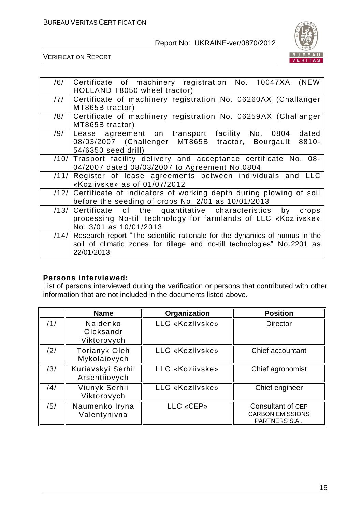

VERIFICATION REPORT

| /6/  | Certificate of machinery registration No. 10047XA<br>(NEW<br>HOLLAND T8050 wheel tractor) |
|------|-------------------------------------------------------------------------------------------|
|      |                                                                                           |
| /7/  | Certificate of machinery registration No. 06260AX (Challanger                             |
|      | MT865B tractor)                                                                           |
| /8/  | Certificate of machinery registration No. 06259AX (Challanger                             |
|      | MT865B tractor)                                                                           |
| /9/  | Lease agreement on transport facility No. 0804<br>dated                                   |
|      | 08/03/2007 (Challenger MT865B tractor, Bourgault<br>$8810 -$                              |
|      |                                                                                           |
|      | 54/6350 seed drill)                                                                       |
| /10/ | Trasport facility delivery and acceptance certificate No. 08-                             |
|      | 04/2007 dated 08/03/2007 to Agreement No.0804                                             |
|      |                                                                                           |
| /11/ | Register of lease agreements between individuals and LLC                                  |
|      | «Koziivske» as of 01/07/2012                                                              |
| /12/ | Certificate of indicators of working depth during plowing of soil                         |
|      |                                                                                           |
|      | before the seeding of crops No. 2/01 as 10/01/2013                                        |
| /13/ | Certificate of the quantitative characteristics by<br>crops                               |
|      | processing No-till technology for farmlands of LLC «Koziivske»                            |
|      |                                                                                           |
|      | No. 3/01 as 10/01/2013                                                                    |
| /14/ | Research report "The scientific rationale for the dynamics of humus in the                |
|      | soil of climatic zones for tillage and no-till technologies" No.2201 as                   |
|      |                                                                                           |
|      | 22/01/2013                                                                                |

#### **Persons interviewed:**

List of persons interviewed during the verification or persons that contributed with other information that are not included in the documents listed above.

|     | <b>Name</b>                          | Organization    | <b>Position</b>                                              |
|-----|--------------------------------------|-----------------|--------------------------------------------------------------|
| /1/ | Naidenko<br>Oleksandr<br>Viktorovych | LLC «Koziivske» | <b>Director</b>                                              |
| /2/ | <b>Torianyk Oleh</b><br>Mykolaiovych | LLC «Koziivske» | Chief accountant                                             |
| /3/ | Kuriavskyi Serhii<br>Arsentiiovych   | LLC «Koziivske» | Chief agronomist                                             |
| /4/ | Viunyk Serhii<br>Viktorovych         | LLC «Koziivske» | Chief engineer                                               |
| /5/ | Naumenko Iryna<br>Valentynivna       | LLC «CEP»       | Consultant of CEP<br><b>CARBON EMISSIONS</b><br>PARTNERS S.A |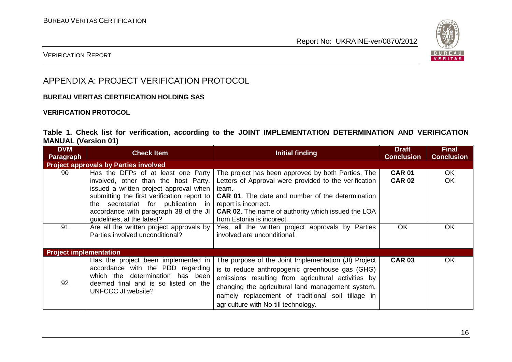

#### VERIFICATION REPORT

## APPENDIX A: PROJECT VERIFICATION PROTOCOL

#### **BUREAU VERITAS CERTIFICATION HOLDING SAS**

#### **VERIFICATION PROTOCOL**

#### **Table 1. Check list for verification, according to the JOINT IMPLEMENTATION DETERMINATION AND VERIFICATION MANUAL (Version 01)**

| <b>DVM</b><br>Paragraph       | <b>Check Item</b>                                                                                                                                                                                                                                                                                         | Initial finding                                                                                                                                                                                                                                                                                                  | <b>Draft</b><br><b>Conclusion</b> | <b>Final</b><br><b>Conclusion</b> |
|-------------------------------|-----------------------------------------------------------------------------------------------------------------------------------------------------------------------------------------------------------------------------------------------------------------------------------------------------------|------------------------------------------------------------------------------------------------------------------------------------------------------------------------------------------------------------------------------------------------------------------------------------------------------------------|-----------------------------------|-----------------------------------|
|                               | <b>Project approvals by Parties involved</b>                                                                                                                                                                                                                                                              |                                                                                                                                                                                                                                                                                                                  |                                   |                                   |
| 90                            | Has the DFPs of at least one Party<br>involved, other than the host Party,<br>issued a written project approval when<br>submitting the first verification report to<br>secretariat for publication in report is incorrect.<br>the<br>accordance with paragraph 38 of the JI<br>guidelines, at the latest? | The project has been approved by both Parties. The<br>Letters of Approval were provided to the verification<br>team.<br><b>CAR 01.</b> The date and number of the determination<br><b>CAR 02.</b> The name of authority which issued the LOA<br>from Estonia is incorect.                                        | <b>CAR 01</b><br><b>CAR 02</b>    | OK.<br><b>OK</b>                  |
| 91                            | Are all the written project approvals by<br>Parties involved unconditional?                                                                                                                                                                                                                               | Yes, all the written project approvals by Parties<br>involved are unconditional.                                                                                                                                                                                                                                 | OK                                | OK                                |
| <b>Project implementation</b> |                                                                                                                                                                                                                                                                                                           |                                                                                                                                                                                                                                                                                                                  |                                   |                                   |
| 92                            | Has the project been implemented in<br>accordance with the PDD regarding<br>which the determination has been<br>deemed final and is so listed on the<br>UNFCCC JI website?                                                                                                                                | The purpose of the Joint Implementation (JI) Project<br>is to reduce anthropogenic greenhouse gas (GHG)<br>emissions resulting from agricultural activities by<br>changing the agricultural land management system,<br>namely replacement of traditional soil tillage in<br>agriculture with No-till technology. | <b>CAR 03</b>                     | OK.                               |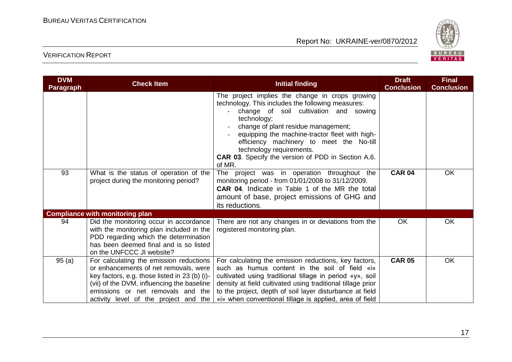

| <b>DVM</b><br>Paragraph | <b>Check Item</b>                                                                                                                                                                                                                                             | <b>Initial finding</b>                                                                                                                                                                                                                                                                                                                                                                               | <b>Draft</b><br><b>Conclusion</b> | <b>Final</b><br><b>Conclusion</b> |
|-------------------------|---------------------------------------------------------------------------------------------------------------------------------------------------------------------------------------------------------------------------------------------------------------|------------------------------------------------------------------------------------------------------------------------------------------------------------------------------------------------------------------------------------------------------------------------------------------------------------------------------------------------------------------------------------------------------|-----------------------------------|-----------------------------------|
|                         |                                                                                                                                                                                                                                                               | The project implies the change in crops growing<br>technology. This includes the following measures:<br>change of soil cultivation and sowing<br>technology;<br>change of plant residue management;<br>equipping the machine-tractor fleet with high-<br>efficiency machinery to meet the No-till<br>technology requirements.<br><b>CAR 03.</b> Specify the version of PDD in Section A.6.<br>of MR. |                                   |                                   |
| 93                      | What is the status of operation of the<br>project during the monitoring period?                                                                                                                                                                               | The project was in operation throughout the<br>monitoring period - from 01/01/2008 to 31/12/2009.<br>CAR 04. Indicate in Table 1 of the MR the total<br>amount of base, project emissions of GHG and<br>its reductions.                                                                                                                                                                              | <b>CAR 04</b>                     | OK                                |
|                         | <b>Compliance with monitoring plan</b>                                                                                                                                                                                                                        |                                                                                                                                                                                                                                                                                                                                                                                                      |                                   |                                   |
| 94                      | Did the monitoring occur in accordance<br>with the monitoring plan included in the<br>PDD regarding which the determination<br>has been deemed final and is so listed<br>on the UNFCCC JI website?                                                            | There are not any changes in or deviations from the<br>registered monitoring plan.                                                                                                                                                                                                                                                                                                                   | <b>OK</b>                         | <b>OK</b>                         |
| 95(a)                   | For calculating the emission reductions<br>or enhancements of net removals, were<br>key factors, e.g. those listed in 23 (b) (i)-<br>(vii) of the DVM, influencing the baseline<br>emissions or net removals and the<br>activity level of the project and the | For calculating the emission reductions, key factors,<br>such as humus content in the soil of field «i»<br>cultivated using traditional tillage in period «y», soil<br>density at field cultivated using traditional tillage prior<br>to the project, depth of soil layer disturbance at field<br>«i» when conventional tillage is applied, area of field                                            | <b>CAR 05</b>                     | OK                                |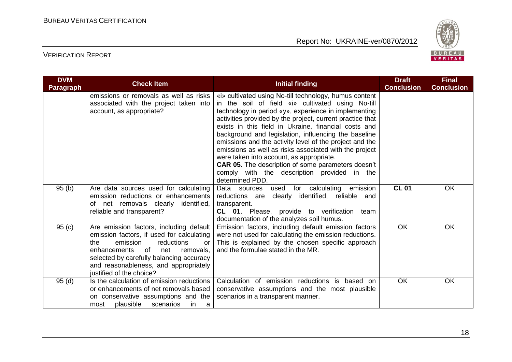

| <b>DVM</b><br><b>Paragraph</b> | <b>Check Item</b>                                                                                                                                                                                                                                                                      | <b>Initial finding</b>                                                                                                                                                                                                                                                                                                                                                                                                                                                                                                                                                                                                                           | <b>Draft</b><br><b>Conclusion</b> | <b>Final</b><br><b>Conclusion</b> |
|--------------------------------|----------------------------------------------------------------------------------------------------------------------------------------------------------------------------------------------------------------------------------------------------------------------------------------|--------------------------------------------------------------------------------------------------------------------------------------------------------------------------------------------------------------------------------------------------------------------------------------------------------------------------------------------------------------------------------------------------------------------------------------------------------------------------------------------------------------------------------------------------------------------------------------------------------------------------------------------------|-----------------------------------|-----------------------------------|
|                                | emissions or removals as well as risks<br>associated with the project taken into<br>account, as appropriate?                                                                                                                                                                           | «i» cultivated using No-till technology, humus content<br>in the soil of field «i» cultivated using No-till<br>technology in period «y», experience in implementing<br>activities provided by the project, current practice that<br>exists in this field in Ukraine, financial costs and<br>background and legislation, influencing the baseline<br>emissions and the activity level of the project and the<br>emissions as well as risks associated with the project<br>were taken into account, as appropriate.<br><b>CAR 05.</b> The description of some parameters doesn't<br>comply with the description provided in the<br>determined PDD. |                                   |                                   |
| 95(b)                          | Are data sources used for calculating<br>emission reductions or enhancements<br>of net removals clearly identified,<br>reliable and transparent?                                                                                                                                       | Data sources<br>for calculating<br>emission<br>used<br>reductions are<br>clearly identified, reliable and<br>transparent.<br>CL 01. Please, provide to verification team<br>documentation of the analyzes soil humus.                                                                                                                                                                                                                                                                                                                                                                                                                            | <b>CL 01</b>                      | <b>OK</b>                         |
| 95(c)                          | Are emission factors, including default<br>emission factors, if used for calculating<br>emission<br>reductions<br>the<br>or<br>of<br>net<br>enhancements<br>removals,<br>selected by carefully balancing accuracy<br>and reasonableness, and appropriately<br>justified of the choice? | Emission factors, including default emission factors<br>were not used for calculating the emission reductions.<br>This is explained by the chosen specific approach<br>and the formulae stated in the MR.                                                                                                                                                                                                                                                                                                                                                                                                                                        | <b>OK</b>                         | <b>OK</b>                         |
| 95(d)                          | Is the calculation of emission reductions<br>or enhancements of net removals based<br>on conservative assumptions and the<br>plausible<br>scenarios<br>most<br>in.<br>a                                                                                                                | Calculation of emission reductions is based on<br>conservative assumptions and the most plausible<br>scenarios in a transparent manner.                                                                                                                                                                                                                                                                                                                                                                                                                                                                                                          | OK                                | <b>OK</b>                         |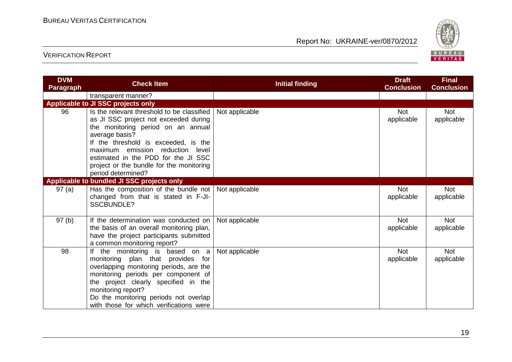

| <b>DVM</b><br><b>Paragraph</b> | <b>Check Item</b>                                                                                                                                                                                                                                                                                                                | <b>Initial finding</b> | <b>Draft</b><br><b>Conclusion</b> | <b>Final</b><br><b>Conclusion</b> |
|--------------------------------|----------------------------------------------------------------------------------------------------------------------------------------------------------------------------------------------------------------------------------------------------------------------------------------------------------------------------------|------------------------|-----------------------------------|-----------------------------------|
|                                | transparent manner?                                                                                                                                                                                                                                                                                                              |                        |                                   |                                   |
|                                | Applicable to JI SSC projects only                                                                                                                                                                                                                                                                                               |                        |                                   |                                   |
| 96                             | Is the relevant threshold to be classified<br>as JI SSC project not exceeded during<br>the monitoring period on an annual<br>average basis?<br>If the threshold is exceeded, is the<br>maximum emission reduction level<br>estimated in the PDD for the JI SSC<br>project or the bundle for the monitoring<br>period determined? | Not applicable         | <b>Not</b><br>applicable          | <b>Not</b><br>applicable          |
|                                | Applicable to bundled JI SSC projects only                                                                                                                                                                                                                                                                                       |                        |                                   |                                   |
| 97(a)                          | Has the composition of the bundle not   Not applicable<br>changed from that is stated in F-JI-<br>SSCBUNDLE?                                                                                                                                                                                                                     |                        | <b>Not</b><br>applicable          | <b>Not</b><br>applicable          |
| 97(b)                          | If the determination was conducted on<br>the basis of an overall monitoring plan,<br>have the project participants submitted<br>a common monitoring report?                                                                                                                                                                      | Not applicable         | <b>Not</b><br>applicable          | <b>Not</b><br>applicable          |
| 98                             | If the monitoring is based on a<br>monitoring plan that provides for<br>overlapping monitoring periods, are the<br>monitoring periods per component of<br>the project clearly specified in the<br>monitoring report?<br>Do the monitoring periods not overlap<br>with those for which verifications were                         | Not applicable         | <b>Not</b><br>applicable          | <b>Not</b><br>applicable          |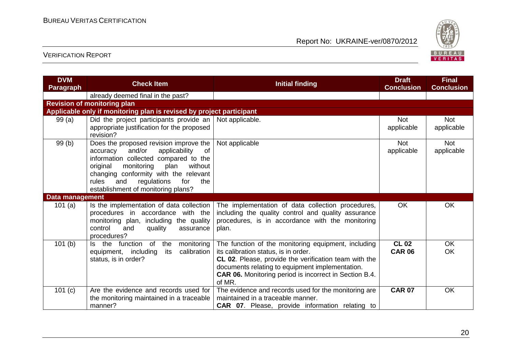

| <b>DVM</b><br><b>Paragraph</b> | <b>Check Item</b>                                                                                                                                                                                                                                                                                     | <b>Initial finding</b>                                                                                                                                                                                                                                                             | <b>Draft</b><br><b>Conclusion</b> | <b>Final</b><br><b>Conclusion</b> |
|--------------------------------|-------------------------------------------------------------------------------------------------------------------------------------------------------------------------------------------------------------------------------------------------------------------------------------------------------|------------------------------------------------------------------------------------------------------------------------------------------------------------------------------------------------------------------------------------------------------------------------------------|-----------------------------------|-----------------------------------|
|                                | already deemed final in the past?                                                                                                                                                                                                                                                                     |                                                                                                                                                                                                                                                                                    |                                   |                                   |
|                                | <b>Revision of monitoring plan</b>                                                                                                                                                                                                                                                                    |                                                                                                                                                                                                                                                                                    |                                   |                                   |
|                                | Applicable only if monitoring plan is revised by project participant                                                                                                                                                                                                                                  |                                                                                                                                                                                                                                                                                    |                                   |                                   |
| 99 (a)                         | Did the project participants provide an<br>appropriate justification for the proposed<br>revision?                                                                                                                                                                                                    | Not applicable.                                                                                                                                                                                                                                                                    | <b>Not</b><br>applicable          | <b>Not</b><br>applicable          |
| 99(b)                          | Does the proposed revision improve the<br>and/or<br>applicability<br>0f<br>accuracy<br>information collected compared to the<br>monitoring<br>without<br>original<br>plan<br>changing conformity with the relevant<br>regulations<br>for<br>rules<br>and<br>the<br>establishment of monitoring plans? | Not applicable                                                                                                                                                                                                                                                                     | <b>Not</b><br>applicable          | <b>Not</b><br>applicable          |
| <b>Data management</b>         |                                                                                                                                                                                                                                                                                                       |                                                                                                                                                                                                                                                                                    |                                   |                                   |
| 101 $(a)$                      | Is the implementation of data collection<br>procedures in accordance with the<br>monitoring plan, including the quality<br>control<br>and<br>quality<br>assurance<br>procedures?                                                                                                                      | The implementation of data collection procedures,<br>including the quality control and quality assurance<br>procedures, is in accordance with the monitoring<br>plan.                                                                                                              | <b>OK</b>                         | <b>OK</b>                         |
| 101(b)                         | Is the function of<br>the<br>monitoring<br>equipment, including<br>its<br>calibration<br>status, is in order?                                                                                                                                                                                         | The function of the monitoring equipment, including<br>its calibration status, is in order.<br>CL 02. Please, provide the verification team with the<br>documents relating to equipment implementation.<br><b>CAR 06.</b> Monitoring period is incorrect in Section B.4.<br>of MR. | <b>CL 02</b><br><b>CAR 06</b>     | <b>OK</b><br><b>OK</b>            |
| 101 $(c)$                      | Are the evidence and records used for<br>the monitoring maintained in a traceable<br>manner?                                                                                                                                                                                                          | The evidence and records used for the monitoring are<br>maintained in a traceable manner.<br><b>CAR 07.</b> Please, provide information relating to                                                                                                                                | <b>CAR 07</b>                     | <b>OK</b>                         |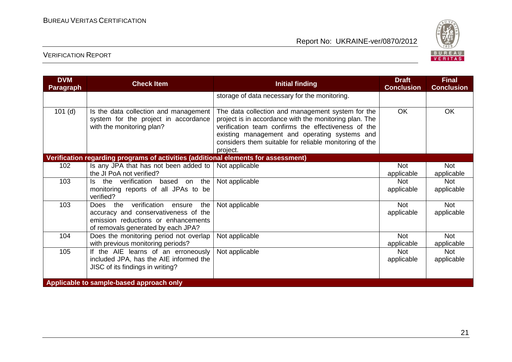

| <b>DVM</b><br>Paragraph | <b>Check Item</b>                                                                                                                                           | <b>Initial finding</b>                                                                                                                                                                                                                                                                    | <b>Draft</b><br><b>Conclusion</b> | <b>Final</b><br><b>Conclusion</b> |
|-------------------------|-------------------------------------------------------------------------------------------------------------------------------------------------------------|-------------------------------------------------------------------------------------------------------------------------------------------------------------------------------------------------------------------------------------------------------------------------------------------|-----------------------------------|-----------------------------------|
|                         |                                                                                                                                                             | storage of data necessary for the monitoring.                                                                                                                                                                                                                                             |                                   |                                   |
| $101$ (d)               | Is the data collection and management<br>system for the project in accordance<br>with the monitoring plan?                                                  | The data collection and management system for the<br>project is in accordance with the monitoring plan. The<br>verification team confirms the effectiveness of the<br>existing management and operating systems and<br>considers them suitable for reliable monitoring of the<br>project. | OK.                               | <b>OK</b>                         |
|                         | Verification regarding programs of activities (additional elements for assessment)                                                                          |                                                                                                                                                                                                                                                                                           |                                   |                                   |
| 102                     | Is any JPA that has not been added to $\vert$ Not applicable<br>the JI PoA not verified?                                                                    |                                                                                                                                                                                                                                                                                           | Not<br>applicable                 | <b>Not</b><br>applicable          |
| 103                     | Is the verification<br>based on the<br>monitoring reports of all JPAs to be<br>verified?                                                                    | Not applicable                                                                                                                                                                                                                                                                            | <b>Not</b><br>applicable          | <b>Not</b><br>applicable          |
| 103                     | Does the verification<br>the<br>ensure<br>accuracy and conservativeness of the<br>emission reductions or enhancements<br>of removals generated by each JPA? | Not applicable                                                                                                                                                                                                                                                                            | <b>Not</b><br>applicable          | <b>Not</b><br>applicable          |
| 104                     | Does the monitoring period not overlap<br>with previous monitoring periods?                                                                                 | Not applicable                                                                                                                                                                                                                                                                            | <b>Not</b><br>applicable          | <b>Not</b><br>applicable          |
| 105                     | If the AIE learns of an erroneously<br>included JPA, has the AIE informed the<br>JISC of its findings in writing?                                           | Not applicable                                                                                                                                                                                                                                                                            | <b>Not</b><br>applicable          | <b>Not</b><br>applicable          |
|                         | Applicable to sample-based approach only                                                                                                                    |                                                                                                                                                                                                                                                                                           |                                   |                                   |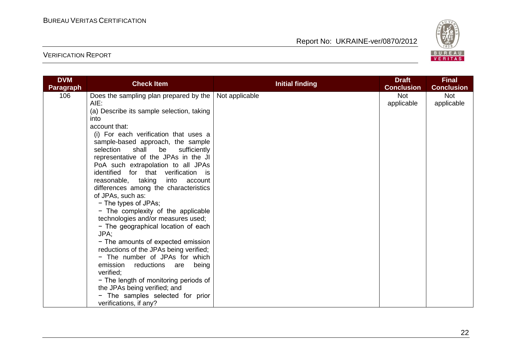

| <b>DVM</b>       | <b>Check Item</b>                                                                                                                                                                                                                                                                                                                                                                                                                                                                                                                                                                                                                                                                                                                                                                                                                                                                                             | <b>Initial finding</b> | <b>Draft</b>             | <b>Final</b>             |
|------------------|---------------------------------------------------------------------------------------------------------------------------------------------------------------------------------------------------------------------------------------------------------------------------------------------------------------------------------------------------------------------------------------------------------------------------------------------------------------------------------------------------------------------------------------------------------------------------------------------------------------------------------------------------------------------------------------------------------------------------------------------------------------------------------------------------------------------------------------------------------------------------------------------------------------|------------------------|--------------------------|--------------------------|
| <b>Paragraph</b> |                                                                                                                                                                                                                                                                                                                                                                                                                                                                                                                                                                                                                                                                                                                                                                                                                                                                                                               |                        | <b>Conclusion</b>        | <b>Conclusion</b>        |
| 106              | Does the sampling plan prepared by the<br>AIE:<br>(a) Describe its sample selection, taking<br>into<br>account that:<br>(i) For each verification that uses a<br>sample-based approach, the sample<br>selection<br>shall be<br>sufficiently<br>representative of the JPAs in the JI<br>PoA such extrapolation to all JPAs<br>identified for that verification is<br>reasonable, taking<br>into account<br>differences among the characteristics<br>of JPAs, such as:<br>- The types of JPAs;<br>- The complexity of the applicable<br>technologies and/or measures used;<br>- The geographical location of each<br>JPA;<br>- The amounts of expected emission<br>reductions of the JPAs being verified;<br>- The number of JPAs for which<br>emission<br>reductions<br>being<br>are<br>verified;<br>- The length of monitoring periods of<br>the JPAs being verified; and<br>- The samples selected for prior | Not applicable         | <b>Not</b><br>applicable | <b>Not</b><br>applicable |
|                  | verifications, if any?                                                                                                                                                                                                                                                                                                                                                                                                                                                                                                                                                                                                                                                                                                                                                                                                                                                                                        |                        |                          |                          |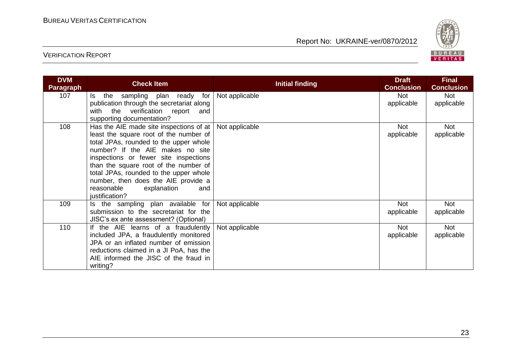

| <b>DVM</b><br><b>Paragraph</b> | <b>Check Item</b>                                                                                                                                                                                                                                                                                                                                                                        | <b>Initial finding</b> | <b>Draft</b><br><b>Conclusion</b> | <b>Final</b><br><b>Conclusion</b> |
|--------------------------------|------------------------------------------------------------------------------------------------------------------------------------------------------------------------------------------------------------------------------------------------------------------------------------------------------------------------------------------------------------------------------------------|------------------------|-----------------------------------|-----------------------------------|
| 107                            | the<br>sampling plan ready for<br>ls l<br>publication through the secretariat along<br>with the verification report<br>and<br>supporting documentation?                                                                                                                                                                                                                                  | Not applicable         | <b>Not</b><br>applicable          | Not<br>applicable                 |
| 108                            | Has the AIE made site inspections of at<br>least the square root of the number of<br>total JPAs, rounded to the upper whole<br>number? If the AIE makes no site<br>inspections or fewer site inspections<br>than the square root of the number of<br>total JPAs, rounded to the upper whole<br>number, then does the AIE provide a<br>reasonable<br>explanation<br>and<br>justification? | Not applicable         | <b>Not</b><br>applicable          | <b>Not</b><br>applicable          |
| 109                            | Is the sampling plan available for<br>submission to the secretariat for the<br>JISC's ex ante assessment? (Optional)                                                                                                                                                                                                                                                                     | Not applicable         | <b>Not</b><br>applicable          | <b>Not</b><br>applicable          |
| 110                            | If the AIE learns of a fraudulently<br>included JPA, a fraudulently monitored<br>JPA or an inflated number of emission<br>reductions claimed in a JI PoA, has the<br>AIE informed the JISC of the fraud in<br>writing?                                                                                                                                                                   | Not applicable         | <b>Not</b><br>applicable          | <b>Not</b><br>applicable          |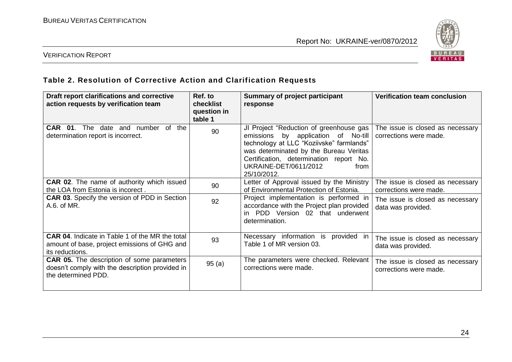

#### VERIFICATION REPORT

#### **Table 2. Resolution of Corrective Action and Clarification Requests**

| Draft report clarifications and corrective<br>action requests by verification team                                          | Ref. to<br>checklist<br>question in<br>table 1 | Summary of project participant<br>response                                                                                                                                                                                                                      | <b>Verification team conclusion</b>                        |
|-----------------------------------------------------------------------------------------------------------------------------|------------------------------------------------|-----------------------------------------------------------------------------------------------------------------------------------------------------------------------------------------------------------------------------------------------------------------|------------------------------------------------------------|
| $\circ$ f<br>CAR<br>date and number<br>the<br>01.<br>The<br>determination report is incorrect.                              | 90                                             | JI Project "Reduction of greenhouse gas<br>emissions by application of No-till<br>technology at LLC "Koziivske" farmlands"<br>was determinated by the Bureau Veritas<br>Certification, determination report No.<br>UKRAINE-DET/0611/2012<br>from<br>25/10/2012. | The issue is closed as necessary<br>corrections were made. |
| <b>CAR 02.</b> The name of authority which issued<br>the LOA from Estonia is incorect.                                      | 90                                             | Letter of Approval issued by the Ministry<br>of Environmental Protection of Estonia.                                                                                                                                                                            | The issue is closed as necessary<br>corrections were made. |
| <b>CAR 03.</b> Specify the version of PDD in Section<br>A.6. of MR.                                                         | 92                                             | Project implementation is performed in<br>accordance with the Project plan provided<br>PDD Version 02 that underwent<br>determination.                                                                                                                          | The issue is closed as necessary<br>data was provided.     |
| <b>CAR 04.</b> Indicate in Table 1 of the MR the total<br>amount of base, project emissions of GHG and<br>its reductions.   | 93                                             | Necessary information is<br>provided<br>ın<br>Table 1 of MR version 03.                                                                                                                                                                                         | The issue is closed as necessary<br>data was provided.     |
| <b>CAR 05.</b> The description of some parameters<br>doesn't comply with the description provided in<br>the determined PDD. | 95(a)                                          | The parameters were checked. Relevant<br>corrections were made.                                                                                                                                                                                                 | The issue is closed as necessary<br>corrections were made. |